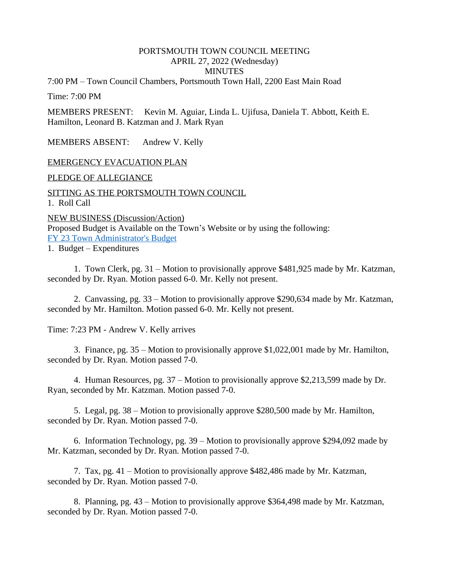# PORTSMOUTH TOWN COUNCIL MEETING APRIL 27, 2022 (Wednesday)

#### **MINUTES**

7:00 PM – Town Council Chambers, Portsmouth Town Hall, 2200 East Main Road

Time: 7:00 PM

MEMBERS PRESENT: Kevin M. Aguiar, Linda L. Ujifusa, Daniela T. Abbott, Keith E. Hamilton, Leonard B. Katzman and J. Mark Ryan

MEMBERS ABSENT: Andrew V. Kelly

#### EMERGENCY EVACUATION PLAN

PLEDGE OF ALLEGIANCE

SITTING AS THE PORTSMOUTH TOWN COUNCIL 1. Roll Call

NEW BUSINESS (Discussion/Action) Proposed Budget is Available on the Town's Website or by using the following: [FY 23 Town Administrator's Budget](https://www.portsmouthri.gov/ArchiveCenter/ViewFile/Item/369)

1. Budget – [Expenditures](https://www.portsmouthri.com/ArchiveCenter/ViewFile/Item/364)

[1. Town Clerk, pg. 31](https://www.portsmouthri.com/ArchiveCenter/ViewFile/Item/364) – [Motion to provisionally approve \\$481,925 made by Mr. Katzman,](https://www.portsmouthri.com/ArchiveCenter/ViewFile/Item/364)  [seconded by Dr. Ryan. Motion passed 6-0. Mr. Kelly not present.](https://www.portsmouthri.com/ArchiveCenter/ViewFile/Item/364)

[2](https://www.portsmouthri.com/ArchiveCenter/ViewFile/Item/364). Canvassing, pg. 33 – [Motion to provisionally approve \\$290,634 made by Mr. Katzman,](https://www.portsmouthri.com/ArchiveCenter/ViewFile/Item/364)  [seconded by Mr. Hamilton. Motion passed 6-0. Mr. Kelly not present.](https://www.portsmouthri.com/ArchiveCenter/ViewFile/Item/364)

[Time: 7:23 PM - Andrew V. Kelly arrives](https://www.portsmouthri.com/ArchiveCenter/ViewFile/Item/364)

[3](https://www.portsmouthri.com/ArchiveCenter/ViewFile/Item/364). Finance, pg. 35 – [Motion to provisionally approve \\$1,022,001 made by Mr. Hamilton,](https://www.portsmouthri.com/ArchiveCenter/ViewFile/Item/364)  [seconded by Dr. Ryan. Motion passed 7-0.](https://www.portsmouthri.com/ArchiveCenter/ViewFile/Item/364)

[4](https://www.portsmouthri.com/ArchiveCenter/ViewFile/Item/364). Human Resources, pg. 37 – [Motion to provisionally approve \\$2,213,599 made by Dr.](https://www.portsmouthri.com/ArchiveCenter/ViewFile/Item/364)  [Ryan, seconded by Mr. Katzman. Motion passed 7-0.](https://www.portsmouthri.com/ArchiveCenter/ViewFile/Item/364)

[5](https://www.portsmouthri.com/ArchiveCenter/ViewFile/Item/364). Legal, pg. 38 – [Motion to provisionally approve \\$280,500 made by Mr. Hamilton,](https://www.portsmouthri.com/ArchiveCenter/ViewFile/Item/364)  [seconded by Dr. Ryan. Motion passed 7-0.](https://www.portsmouthri.com/ArchiveCenter/ViewFile/Item/364)

[6. I](https://www.portsmouthri.com/ArchiveCenter/ViewFile/Item/364)nformation Technology, pg. 39 – [Motion to provisionally approve \\$294,092 made by](https://www.portsmouthri.com/ArchiveCenter/ViewFile/Item/364)  [Mr. Katzman, seconded by Dr. Ryan. Motion passed 7-0.](https://www.portsmouthri.com/ArchiveCenter/ViewFile/Item/364)

[7](https://www.portsmouthri.com/ArchiveCenter/ViewFile/Item/364). Tax, pg. 41 – [Motion to provisionally approve \\$482,486 made by Mr. Katzman,](https://www.portsmouthri.com/ArchiveCenter/ViewFile/Item/364)  [seconded by Dr. Ryan. Motion passed 7-0.](https://www.portsmouthri.com/ArchiveCenter/ViewFile/Item/364)

[8](https://www.portsmouthri.com/ArchiveCenter/ViewFile/Item/364). Planning, pg. 43 – [Motion to provisionally approve \\$364,498 made by Mr. Katzman,](https://www.portsmouthri.com/ArchiveCenter/ViewFile/Item/364)  [seconded by Dr. Ryan. Motion passed 7-0.](https://www.portsmouthri.com/ArchiveCenter/ViewFile/Item/364)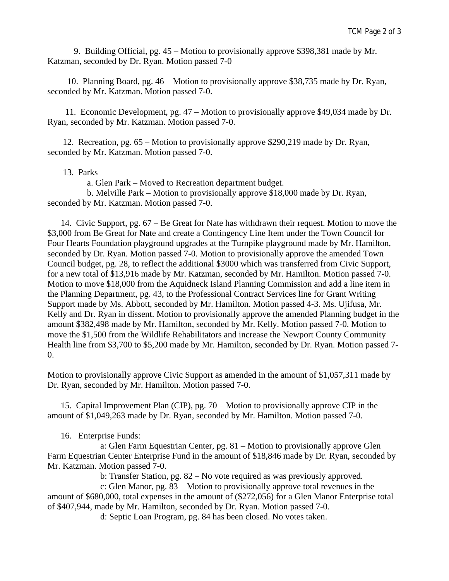9. Building Official, pg. 45 – Motion to provisionally approve \$398,381 made by Mr. Katzman, seconded by Dr. Ryan. Motion passed 7-0

 10. Planning Board, pg. 46 – Motion to provisionally approve \$38,735 made by Dr. Ryan, seconded by Mr. Katzman. Motion passed 7-0.

 11. Economic Development, pg. 47 – Motion to provisionally approve \$49,034 made by Dr. Ryan, seconded by Mr. Katzman. Motion passed 7-0.

 12. Recreation, pg. 65 – Motion to provisionally approve \$290,219 made by Dr. Ryan, seconded by Mr. Katzman. Motion passed 7-0.

### 13. Parks

a. Glen Park – Moved to Recreation department budget.

 b. Melville Park – Motion to provisionally approve \$18,000 made by Dr. Ryan, seconded by Mr. Katzman. Motion passed 7-0.

 14. Civic Support, pg. 67 – Be Great for Nate has withdrawn their request. Motion to move the \$3,000 from Be Great for Nate and create a Contingency Line Item under the Town Council for Four Hearts Foundation playground upgrades at the Turnpike playground made by Mr. Hamilton, seconded by Dr. Ryan. Motion passed 7-0. Motion to provisionally approve the amended Town Council budget, pg. 28, to reflect the additional \$3000 which was transferred from Civic Support, for a new total of \$13,916 made by Mr. Katzman, seconded by Mr. Hamilton. Motion passed 7-0. Motion to move \$18,000 from the Aquidneck Island Planning Commission and add a line item in the Planning Department, pg. 43, to the Professional Contract Services line for Grant Writing Support made by Ms. Abbott, seconded by Mr. Hamilton. Motion passed 4-3. Ms. Ujifusa, Mr. Kelly and Dr. Ryan in dissent. Motion to provisionally approve the amended Planning budget in the amount \$382,498 made by Mr. Hamilton, seconded by Mr. Kelly. Motion passed 7-0. Motion to move the \$1,500 from the Wildlife Rehabilitators and increase the Newport County Community Health line from \$3,700 to \$5,200 made by Mr. Hamilton, seconded by Dr. Ryan. Motion passed 7- 0.

Motion to provisionally approve Civic Support as amended in the amount of \$1,057,311 made by Dr. Ryan, seconded by Mr. Hamilton. Motion passed 7-0.

 15. Capital Improvement Plan (CIP), pg. 70 – Motion to provisionally approve CIP in the amount of \$1,049,263 made by Dr. Ryan, seconded by Mr. Hamilton. Motion passed 7-0.

## 16. Enterprise Funds:

a: Glen Farm Equestrian Center, pg. 81 – Motion to provisionally approve Glen Farm Equestrian Center Enterprise Fund in the amount of \$18,846 made by Dr. Ryan, seconded by Mr. Katzman. Motion passed 7-0.

b: Transfer Station, pg. 82 – No vote required as was previously approved.

c: Glen Manor, pg. 83 – Motion to provisionally approve total revenues in the amount of \$680,000, total expenses in the amount of (\$272,056) for a Glen Manor Enterprise total of \$407,944, made by Mr. Hamilton, seconded by Dr. Ryan. Motion passed 7-0.

d: Septic Loan Program, pg. 84 has been closed. No votes taken.